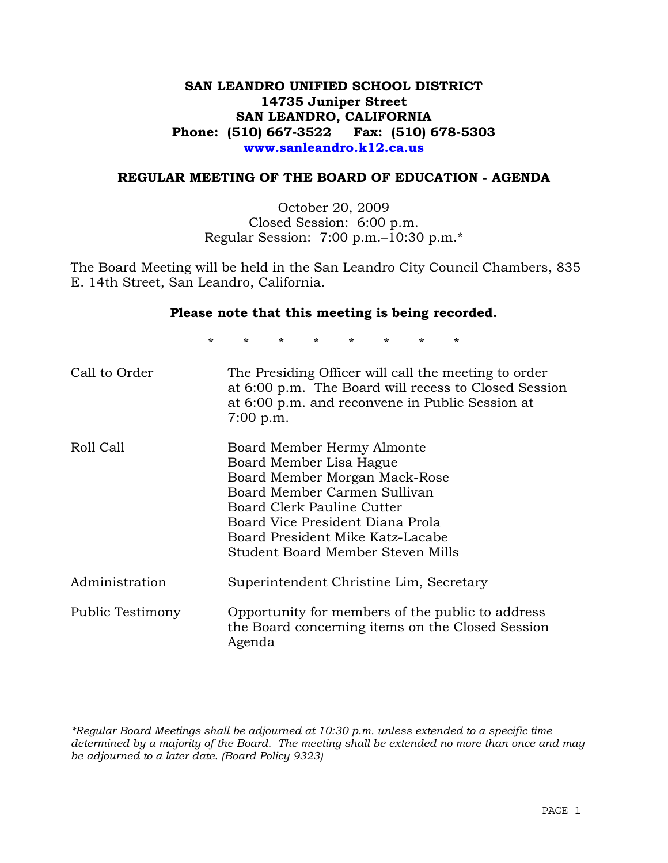## **SAN LEANDRO UNIFIED SCHOOL DISTRICT 14735 Juniper Street SAN LEANDRO, CALIFORNIA Phone: (510) 667-3522 Fax: (510) 678-5303 www.sanleandro.k12.ca.us**

#### **REGULAR MEETING OF THE BOARD OF EDUCATION - AGENDA**

October 20, 2009 Closed Session: 6:00 p.m. Regular Session: 7:00 p.m.–10:30 p.m.\*

The Board Meeting will be held in the San Leandro City Council Chambers, 835 E. 14th Street, San Leandro, California.

#### **Please note that this meeting is being recorded.**

\* \* \* \* \* \* \* \*

| Call to Order    | The Presiding Officer will call the meeting to order<br>at 6:00 p.m. The Board will recess to Closed Session<br>at 6:00 p.m. and reconvene in Public Session at<br>$7:00$ p.m.                                                                                    |
|------------------|-------------------------------------------------------------------------------------------------------------------------------------------------------------------------------------------------------------------------------------------------------------------|
| Roll Call        | Board Member Hermy Almonte<br>Board Member Lisa Hague<br>Board Member Morgan Mack-Rose<br>Board Member Carmen Sullivan<br>Board Clerk Pauline Cutter<br>Board Vice President Diana Prola<br>Board President Mike Katz-Lacabe<br>Student Board Member Steven Mills |
| Administration   | Superintendent Christine Lim, Secretary                                                                                                                                                                                                                           |
| Public Testimony | Opportunity for members of the public to address<br>the Board concerning items on the Closed Session<br>Agenda                                                                                                                                                    |

*\*Regular Board Meetings shall be adjourned at 10:30 p.m. unless extended to a specific time determined by a majority of the Board. The meeting shall be extended no more than once and may be adjourned to a later date. (Board Policy 9323)*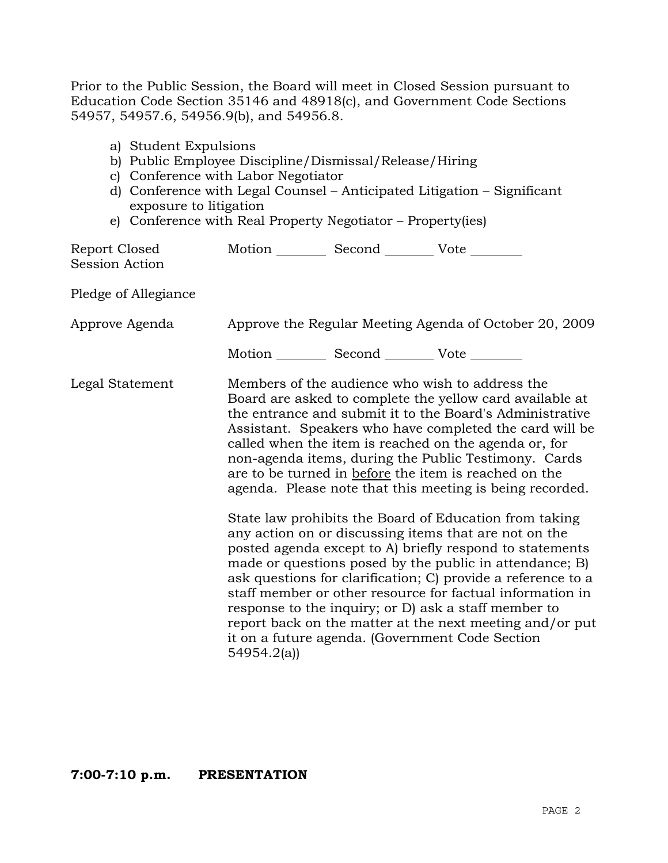Prior to the Public Session, the Board will meet in Closed Session pursuant to Education Code Section 35146 and 48918(c), and Government Code Sections 54957, 54957.6, 54956.9(b), and 54956.8.

- a) Student Expulsions
- b) Public Employee Discipline/Dismissal/Release/Hiring
- c) Conference with Labor Negotiator
- d) Conference with Legal Counsel Anticipated Litigation Significant exposure to litigation
- e) Conference with Real Property Negotiator Property(ies)

| Report Closed<br><b>Session Action</b> | Motion __________ Second __________ Vote ________ |                                                                                                                                                                                                                                                                                                                                                                                                                                                                                                                                                                                                                                                                                                                                                                                                                                                                                                                                                                                                                        |
|----------------------------------------|---------------------------------------------------|------------------------------------------------------------------------------------------------------------------------------------------------------------------------------------------------------------------------------------------------------------------------------------------------------------------------------------------------------------------------------------------------------------------------------------------------------------------------------------------------------------------------------------------------------------------------------------------------------------------------------------------------------------------------------------------------------------------------------------------------------------------------------------------------------------------------------------------------------------------------------------------------------------------------------------------------------------------------------------------------------------------------|
| Pledge of Allegiance                   |                                                   |                                                                                                                                                                                                                                                                                                                                                                                                                                                                                                                                                                                                                                                                                                                                                                                                                                                                                                                                                                                                                        |
| Approve Agenda                         |                                                   | Approve the Regular Meeting Agenda of October 20, 2009                                                                                                                                                                                                                                                                                                                                                                                                                                                                                                                                                                                                                                                                                                                                                                                                                                                                                                                                                                 |
|                                        | Motion __________ Second __________ Vote ________ |                                                                                                                                                                                                                                                                                                                                                                                                                                                                                                                                                                                                                                                                                                                                                                                                                                                                                                                                                                                                                        |
| Legal Statement                        | 54954.2(a)                                        | Members of the audience who wish to address the<br>Board are asked to complete the yellow card available at<br>the entrance and submit it to the Board's Administrative<br>Assistant. Speakers who have completed the card will be<br>called when the item is reached on the agenda or, for<br>non-agenda items, during the Public Testimony. Cards<br>are to be turned in before the item is reached on the<br>agenda. Please note that this meeting is being recorded.<br>State law prohibits the Board of Education from taking<br>any action on or discussing items that are not on the<br>posted agenda except to A) briefly respond to statements<br>made or questions posed by the public in attendance; B)<br>ask questions for clarification; C) provide a reference to a<br>staff member or other resource for factual information in<br>response to the inquiry; or D) ask a staff member to<br>report back on the matter at the next meeting and/or put<br>it on a future agenda. (Government Code Section |

## **7:00-7:10 p.m. PRESENTATION**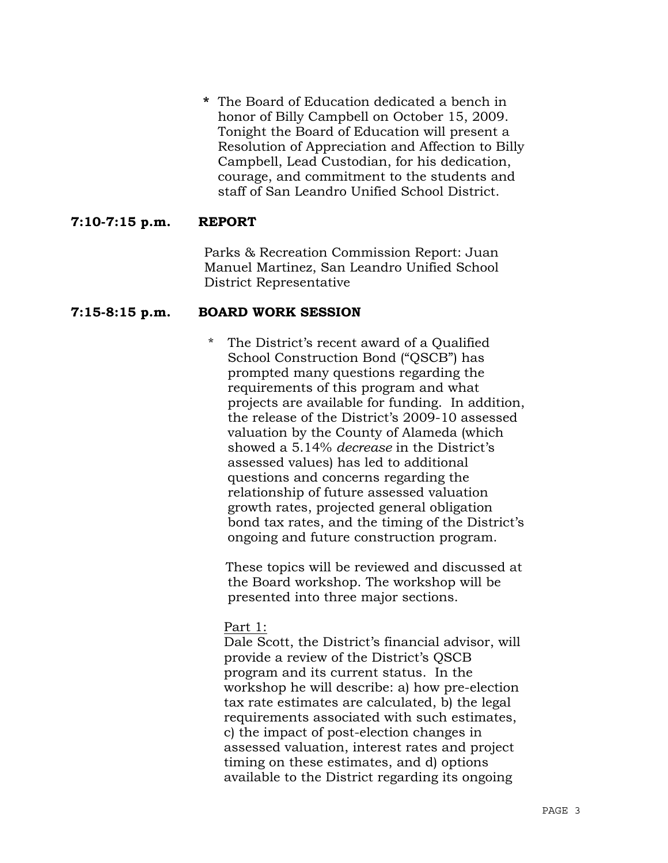**\*** The Board of Education dedicated a bench in honor of Billy Campbell on October 15, 2009. Tonight the Board of Education will present a Resolution of Appreciation and Affection to Billy Campbell, Lead Custodian, for his dedication, courage, and commitment to the students and staff of San Leandro Unified School District.

## **7:10-7:15 p.m. REPORT**

Parks & Recreation Commission Report: Juan Manuel Martinez, San Leandro Unified School District Representative

## **7:15-8:15 p.m. BOARD WORK SESSION**

\* The District's recent award of a Qualified School Construction Bond ("QSCB") has prompted many questions regarding the requirements of this program and what projects are available for funding. In addition, the release of the District's 2009-10 assessed valuation by the County of Alameda (which showed a 5.14% *decrease* in the District's assessed values) has led to additional questions and concerns regarding the relationship of future assessed valuation growth rates, projected general obligation bond tax rates, and the timing of the District's ongoing and future construction program.

 These topics will be reviewed and discussed at the Board workshop. The workshop will be presented into three major sections.

#### Part 1:

 Dale Scott, the District's financial advisor, will provide a review of the District's QSCB program and its current status. In the workshop he will describe: a) how pre-election tax rate estimates are calculated, b) the legal requirements associated with such estimates, c) the impact of post-election changes in assessed valuation, interest rates and project timing on these estimates, and d) options available to the District regarding its ongoing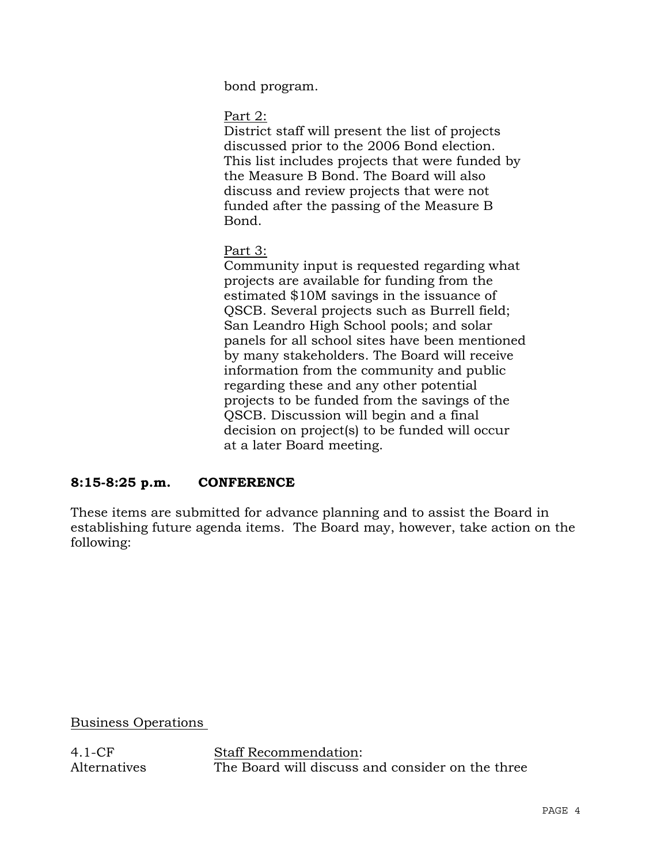bond program.

Part 2:

 District staff will present the list of projects discussed prior to the 2006 Bond election. This list includes projects that were funded by the Measure B Bond. The Board will also discuss and review projects that were not funded after the passing of the Measure B Bond.

# Part 3:

 Community input is requested regarding what projects are available for funding from the estimated \$10M savings in the issuance of QSCB. Several projects such as Burrell field; San Leandro High School pools; and solar panels for all school sites have been mentioned by many stakeholders. The Board will receive information from the community and public regarding these and any other potential projects to be funded from the savings of the QSCB. Discussion will begin and a final decision on project(s) to be funded will occur at a later Board meeting.

# **8:15-8:25 p.m. CONFERENCE**

These items are submitted for advance planning and to assist the Board in establishing future agenda items. The Board may, however, take action on the following:

Business Operations

4.1-CF Alternatives Staff Recommendation: The Board will discuss and consider on the three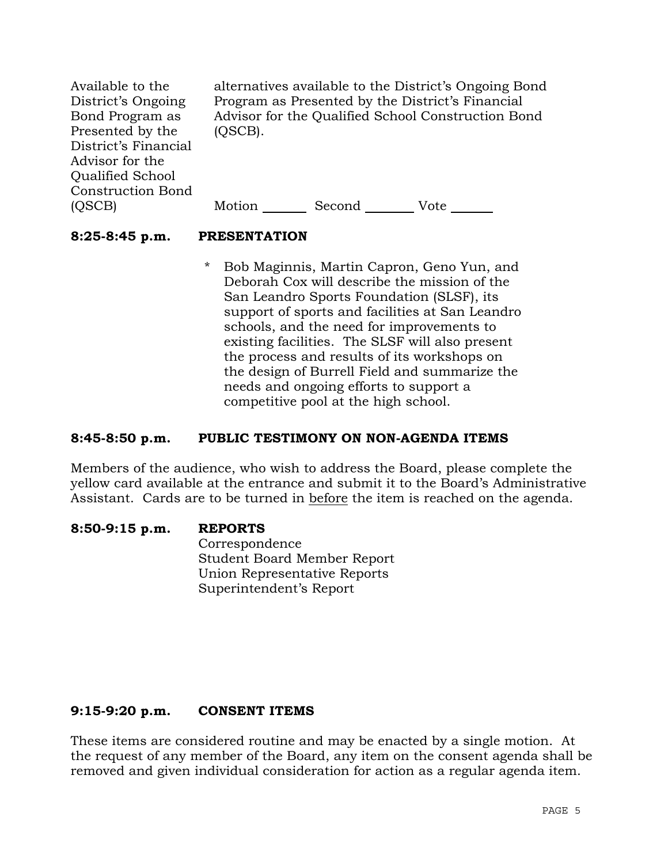Available to the District's Ongoing Bond Program as Presented by the District's Financial Advisor for the Qualified School Construction Bond (QSCB)

alternatives available to the District's Ongoing Bond Program as Presented by the District's Financial Advisor for the Qualified School Construction Bond (QSCB).

Motion Second Vote

## **8:25-8:45 p.m. PRESENTATION**

\* Bob Maginnis, Martin Capron, Geno Yun, and Deborah Cox will describe the mission of the San Leandro Sports Foundation (SLSF), its support of sports and facilities at San Leandro schools, and the need for improvements to existing facilities. The SLSF will also present the process and results of its workshops on the design of Burrell Field and summarize the needs and ongoing efforts to support a competitive pool at the high school.

## **8:45-8:50 p.m. PUBLIC TESTIMONY ON NON-AGENDA ITEMS**

Members of the audience, who wish to address the Board, please complete the yellow card available at the entrance and submit it to the Board's Administrative Assistant. Cards are to be turned in before the item is reached on the agenda.

**8:50-9:15 p.m. REPORTS** Correspondence Student Board Member Report Union Representative Reports Superintendent's Report

#### **9:15-9:20 p.m. CONSENT ITEMS**

These items are considered routine and may be enacted by a single motion. At the request of any member of the Board, any item on the consent agenda shall be removed and given individual consideration for action as a regular agenda item.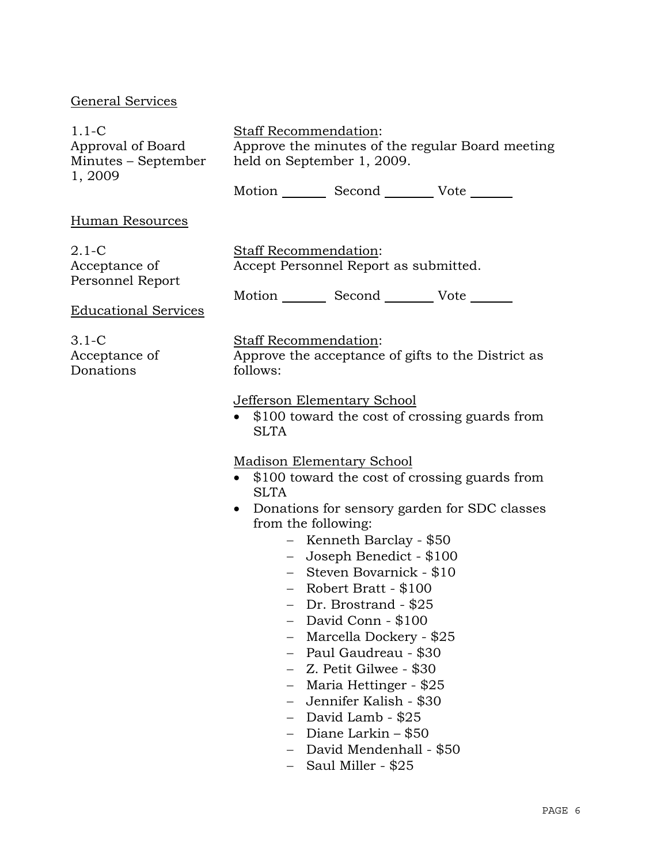## General Services

| $1.1 - C$           | <b>Staff Recommendation:</b> |        |                                                  |
|---------------------|------------------------------|--------|--------------------------------------------------|
| Approval of Board   |                              |        | Approve the minutes of the regular Board meeting |
| Minutes – September | held on September 1, 2009.   |        |                                                  |
| 1, 2009             |                              |        |                                                  |
|                     | Motion                       | Second | Vote                                             |

#### Human Resources

2.1-C Acceptance of Personnel Report

Staff Recommendation: Accept Personnel Report as submitted.

Motion Second Vote

Educational Services

3.1-C Acceptance of Donations

#### Staff Recommendation:

Approve the acceptance of gifts to the District as follows:

#### Jefferson Elementary School

• \$100 toward the cost of crossing guards from **SLTA** 

Madison Elementary School

- \$100 toward the cost of crossing guards from **SLTA**
- Donations for sensory garden for SDC classes from the following:
	- − Kenneth Barclay \$50
	- − Joseph Benedict \$100
	- − Steven Bovarnick \$10
	- − Robert Bratt \$100
	- − Dr. Brostrand \$25
	- − David Conn \$100
	- − Marcella Dockery \$25
	- − Paul Gaudreau \$30
	- − Z. Petit Gilwee \$30
	- − Maria Hettinger \$25
	- − Jennifer Kalish \$30
	- − David Lamb \$25
	- − Diane Larkin \$50
	- − David Mendenhall \$50
	- − Saul Miller \$25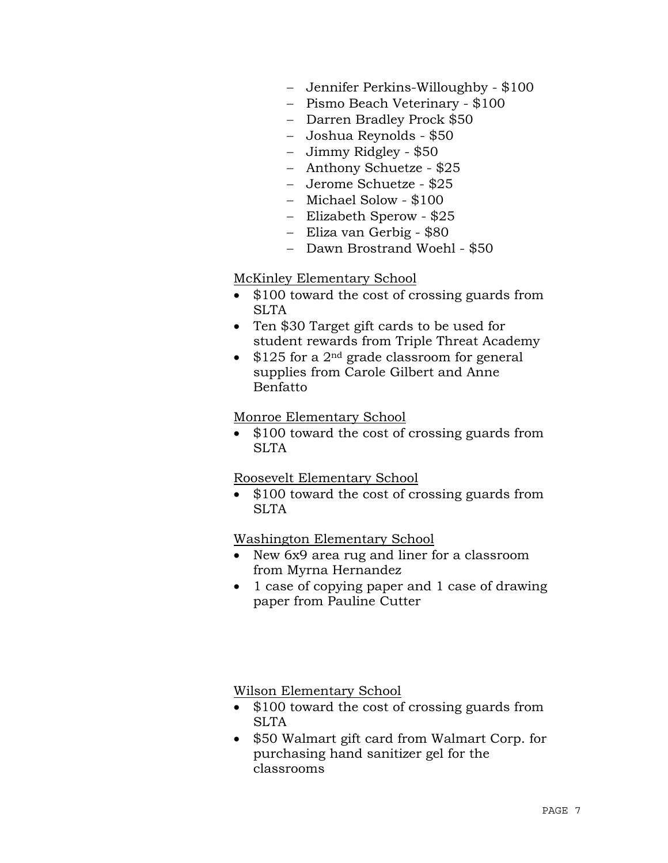- − Jennifer Perkins-Willoughby \$100
- − Pismo Beach Veterinary \$100
- − Darren Bradley Prock \$50
- − Joshua Reynolds \$50
- − Jimmy Ridgley \$50
- − Anthony Schuetze \$25
- − Jerome Schuetze \$25
- − Michael Solow \$100
- − Elizabeth Sperow \$25
- − Eliza van Gerbig \$80
- − Dawn Brostrand Woehl \$50

#### McKinley Elementary School

- \$100 toward the cost of crossing guards from SLTA
- Ten \$30 Target gift cards to be used for student rewards from Triple Threat Academy
- $$125$  for a 2<sup>nd</sup> grade classroom for general supplies from Carole Gilbert and Anne Benfatto

#### Monroe Elementary School

• \$100 toward the cost of crossing guards from SLTA

#### Roosevelt Elementary School

• \$100 toward the cost of crossing guards from **SLTA** 

#### Washington Elementary School

- New 6x9 area rug and liner for a classroom from Myrna Hernandez
- 1 case of copying paper and 1 case of drawing paper from Pauline Cutter

Wilson Elementary School

- \$100 toward the cost of crossing guards from SLTA
- \$50 Walmart gift card from Walmart Corp. for purchasing hand sanitizer gel for the classrooms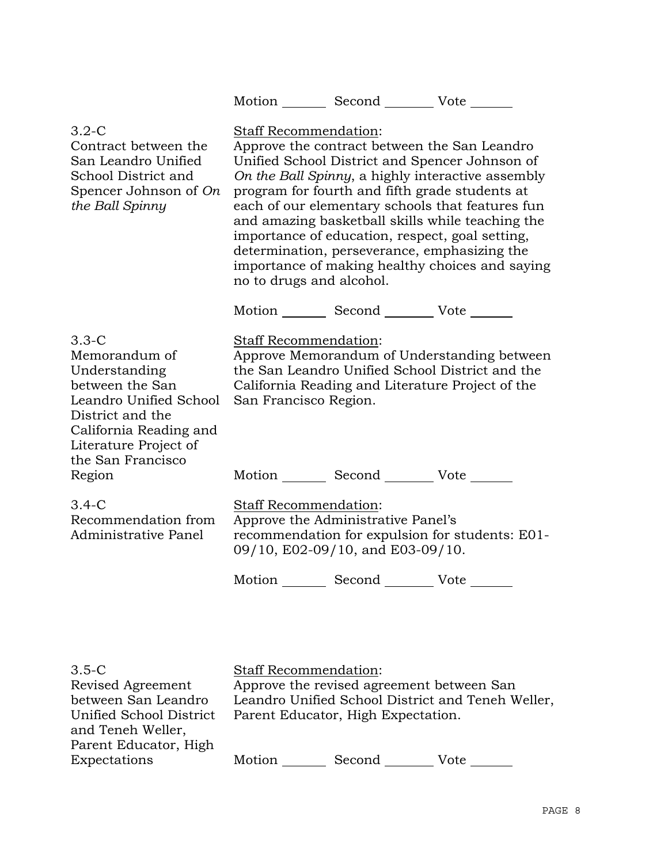| Motion<br>Vote<br>Second |  |
|--------------------------|--|
|--------------------------|--|

| $3.2 - C$<br>Contract between the<br>San Leandro Unified<br>School District and<br>Spencer Johnson of On<br>the Ball Spinny                                                                  | <b>Staff Recommendation:</b><br>Approve the contract between the San Leandro<br>Unified School District and Spencer Johnson of<br>On the Ball Spinny, a highly interactive assembly<br>program for fourth and fifth grade students at<br>each of our elementary schools that features fun<br>and amazing basketball skills while teaching the<br>importance of education, respect, goal setting,<br>determination, perseverance, emphasizing the<br>importance of making healthy choices and saying<br>no to drugs and alcohol.<br>Motion Second Vote |  |
|----------------------------------------------------------------------------------------------------------------------------------------------------------------------------------------------|-------------------------------------------------------------------------------------------------------------------------------------------------------------------------------------------------------------------------------------------------------------------------------------------------------------------------------------------------------------------------------------------------------------------------------------------------------------------------------------------------------------------------------------------------------|--|
| $3.3-C$<br>Memorandum of<br>Understanding<br>between the San<br>Leandro Unified School<br>District and the<br>California Reading and<br>Literature Project of<br>the San Francisco<br>Region | Staff Recommendation:<br>Approve Memorandum of Understanding between<br>the San Leandro Unified School District and the<br>California Reading and Literature Project of the<br>San Francisco Region.<br>Motion Second Vote                                                                                                                                                                                                                                                                                                                            |  |
| $3.4-C$<br>Recommendation from<br><b>Administrative Panel</b>                                                                                                                                | Staff Recommendation:<br>Approve the Administrative Panel's<br>recommendation for expulsion for students: E01-<br>09/10, E02-09/10, and E03-09/10.                                                                                                                                                                                                                                                                                                                                                                                                    |  |
|                                                                                                                                                                                              | Motion ________ Second _________ Vote _______                                                                                                                                                                                                                                                                                                                                                                                                                                                                                                         |  |
|                                                                                                                                                                                              |                                                                                                                                                                                                                                                                                                                                                                                                                                                                                                                                                       |  |
| $3.5 - C$                                                                                                                                                                                    | Staff Recommendation:                                                                                                                                                                                                                                                                                                                                                                                                                                                                                                                                 |  |

| 3.5-C                   | Staff Recommendation:                             |
|-------------------------|---------------------------------------------------|
| Revised Agreement       | Approve the revised agreement between San         |
| between San Leandro     | Leandro Unified School District and Teneh Weller, |
| Unified School District | Parent Educator, High Expectation.                |
| and Teneh Weller,       |                                                   |
| Parent Educator, High   |                                                   |
| Expectations            | Motion<br>Second<br>Vote                          |
|                         |                                                   |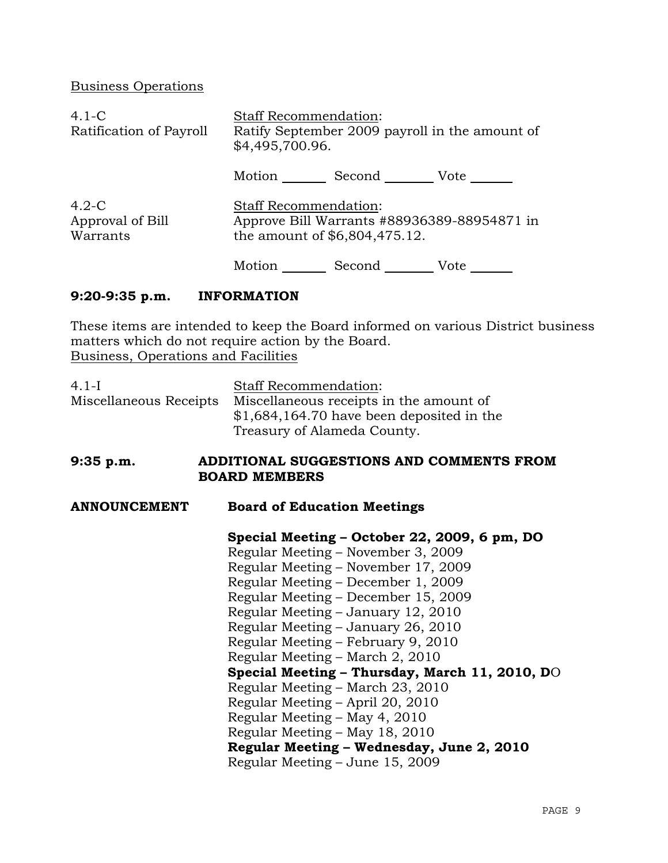Business Operations

| $4.1 - C$<br>Ratification of Payroll    | <b>Staff Recommendation:</b><br>Ratify September 2009 payroll in the amount of<br>\$4,495,700.96.            |        |             |
|-----------------------------------------|--------------------------------------------------------------------------------------------------------------|--------|-------------|
|                                         | Motion                                                                                                       |        | Second Vote |
| $4.2-C$<br>Approval of Bill<br>Warrants | <b>Staff Recommendation:</b><br>Approve Bill Warrants #88936389-88954871 in<br>the amount of \$6,804,475.12. |        |             |
|                                         | Motion                                                                                                       | Second | Vote        |

# **9:20-9:35 p.m. INFORMATION**

These items are intended to keep the Board informed on various District business matters which do not require action by the Board. Business, Operations and Facilities

| $4.1-I$<br>Miscellaneous Receipts | Staff Recommendation:<br>Miscellaneous receipts in the amount of |  |
|-----------------------------------|------------------------------------------------------------------|--|
|                                   | $$1,684,164.70$ have been deposited in the                       |  |
|                                   | Treasury of Alameda County.                                      |  |
| $9:35$ p.m.                       | ADDITIONAL SUGGESTIONS AND COMMENTS FROM<br><b>BOARD MEMBERS</b> |  |
| <b>ANNOUNCEMENT</b>               | <b>Board of Education Meetings</b>                               |  |
|                                   | Special Meeting – October 22, 2009, 6 pm, DO                     |  |
|                                   | Regular Meeting – November 3, 2009                               |  |
|                                   | Regular Meeting – November 17, 2009                              |  |
|                                   | Regular Meeting – December 1, 2009                               |  |
|                                   | Regular Meeting – December 15, 2009                              |  |
|                                   | Regular Meeting – January 12, 2010                               |  |
|                                   | Regular Meeting - January 26, 2010                               |  |
|                                   | Regular Meeting – February 9, 2010                               |  |
|                                   | Regular Meeting – March 2, 2010                                  |  |
|                                   | Special Meeting - Thursday, March 11, 2010, DO                   |  |
|                                   | Regular Meeting – March 23, 2010                                 |  |
|                                   | Regular Meeting – April 20, 2010                                 |  |
|                                   | Regular Meeting – May 4, 2010                                    |  |
|                                   | Regular Meeting – May 18, 2010                                   |  |
|                                   | Regular Meeting - Wednesday, June 2, 2010                        |  |
|                                   | Regular Meeting – June 15, 2009                                  |  |